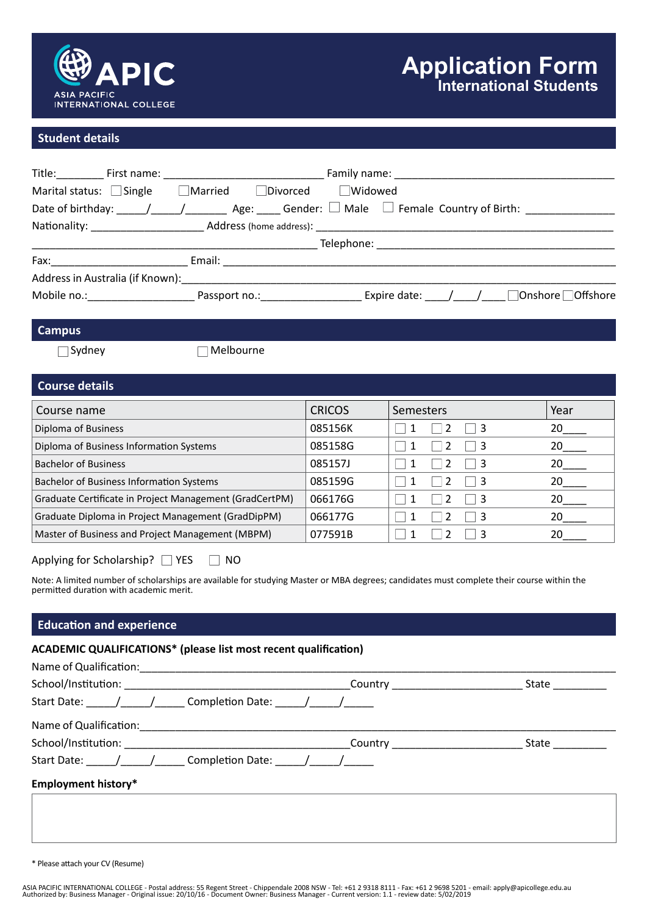

### **Student details**

|                               |                                               | Title: First name: First name: First name: First name: Family name: Family name: First name: First name: First |
|-------------------------------|-----------------------------------------------|----------------------------------------------------------------------------------------------------------------|
| Marital status: $\Box$ Single | $\Box$ Married $\Box$ Divorced $\Box$ Widowed |                                                                                                                |
|                               |                                               |                                                                                                                |
|                               |                                               |                                                                                                                |
|                               |                                               |                                                                                                                |
|                               |                                               |                                                                                                                |
|                               |                                               |                                                                                                                |
|                               |                                               | Mobile no.: The Passport no.: The Expire date: The Mobile no.: Let us a series a series are provided by the P  |
|                               |                                               |                                                                                                                |
| <b>Campus</b>                 |                                               |                                                                                                                |
| $\bigcap$ Sydney              | Melbourne                                     |                                                                                                                |
|                               |                                               |                                                                                                                |

| <b>Course details</b>                                   |               |                  |      |
|---------------------------------------------------------|---------------|------------------|------|
| Course name                                             | <b>CRICOS</b> | <b>Semesters</b> | Year |
| Diploma of Business                                     | 085156K       | -3               | 20   |
| Diploma of Business Information Systems                 | 085158G       | -3               | 20   |
| <b>Bachelor of Business</b>                             | 085157J       | -3               | 20   |
| <b>Bachelor of Business Information Systems</b>         | 085159G       | -3               | 20.  |
| Graduate Certificate in Project Management (GradCertPM) | 066176G       |                  | 20.  |
| Graduate Diploma in Project Management (GradDipPM)      | 066177G       |                  | 20.  |
| Master of Business and Project Management (MBPM)        | 077591B       |                  | 20   |

Applying for Scholarship? NES NO

Note: A limited number of scholarships are available for studying Master or MBA degrees; candidates must complete their course within the permitted duration with academic merit.

## **Education and experience**

#### **ACADEMIC QUALIFICATIONS\* (please list most recent qualification)**

| Name of Qualification: Name of Qualification: |                        |       |
|-----------------------------------------------|------------------------|-------|
|                                               | Country <b>Country</b> | State |
| Start Date: ( / / Completion Date: / /        |                        |       |
| Name of Qualification:                        |                        |       |
|                                               | Country <b>Country</b> | State |
| Start Date: ( / / Completion Date: / /        |                        |       |
| <b>Employment history*</b>                    |                        |       |
|                                               |                        |       |

\* Please attach your CV (Resume)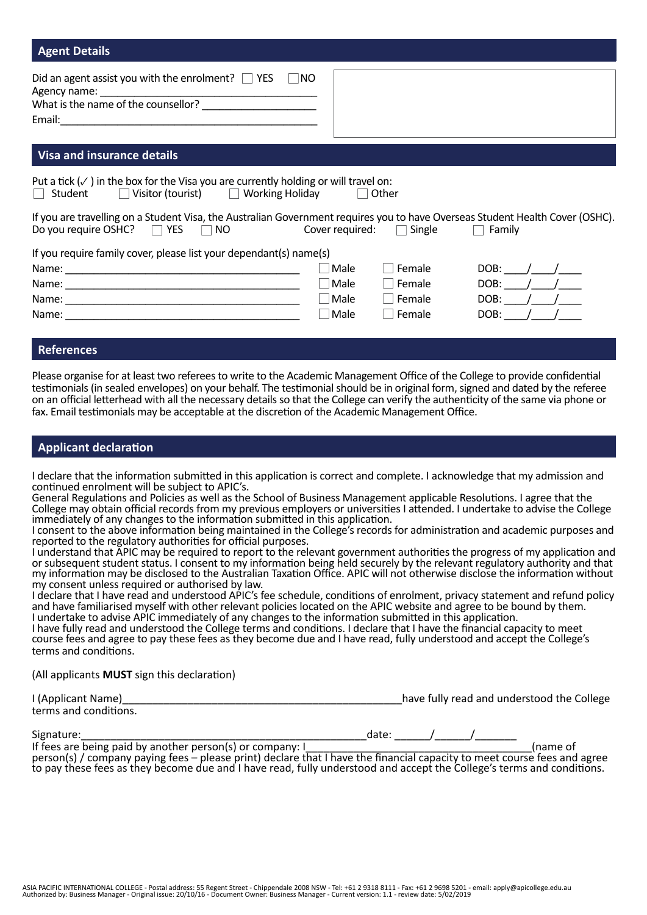| <b>Agent Details</b>                                                                                                                                                       |             |                               |               |
|----------------------------------------------------------------------------------------------------------------------------------------------------------------------------|-------------|-------------------------------|---------------|
| Did an agent assist you with the enrolment? $\Box$ YES<br>$\Box$ NO                                                                                                        |             |                               |               |
| <b>Visa and insurance details</b>                                                                                                                                          |             |                               |               |
| Put a tick $(\checkmark)$ in the box for the Visa you are currently holding or will travel on:<br>$\Box$ Visitor (tourist) $\Box$ Working Holiday<br>Student               |             | Other                         |               |
| If you are travelling on a Student Visa, the Australian Government requires you to have Overseas Student Health Cover (OSHC).<br>Do you require OSHC? $\Box$ YES $\Box$ NO |             | Cover required: $\Box$ Single | $\Box$ Family |
| If you require family cover, please list your dependant(s) name(s)                                                                                                         |             |                               |               |
|                                                                                                                                                                            | $\Box$ Male | Female                        | DOB: $/$ /    |
|                                                                                                                                                                            | Male        | Female<br>$\mathbf{L}$        | DOB: $/$ /    |
|                                                                                                                                                                            | $\Box$ Male | Female<br>$\mathbf{L}$        | DOB: $/$ /    |
|                                                                                                                                                                            | Male        | Female                        | DOB:          |

#### **References**

Please organise for at least two referees to write to the Academic Management Office of the College to provide confidential testimonials (in sealed envelopes) on your behalf. The testimonial should be in original form, signed and dated by the referee on an official letterhead with all the necessary details so that the College can verify the authenticity of the same via phone or fax. Email testimonials may be acceptable at the discretion of the Academic Management Office.

#### **Applicant declaration**

I declare that the information submitted in this application is correct and complete. I acknowledge that my admission and continued enrolment will be subject to APIC's.

General Regulations and Policies as well as the School of Business Management applicable Resolutions. I agree that the College may obtain official records from my previous employers or universities I attended. I undertake to advise the College immediately of any changes to the information submitted in this application.

I consent to the above information being maintained in the College's records for administration and academic purposes and reported to the regulatory authorities for official purposes.

I understand that APIC may be required to report to the relevant government authorities the progress of my application and or subsequent student status. I consent to my information being held securely by the relevant regulatory authority and that my information may be disclosed to the Australian Taxation Office. APIC will not otherwise disclose the information without my consent unless required or authorised by law.

I declare that I have read and understood APIC's fee schedule, conditions of enrolment, privacy statement and refund policy and have familiarised myself with other relevant policies located on the APIC website and agree to be bound by them. I undertake to advise APIC immediately of any changes to the information submitted in this application.

I have fully read and understood the College terms and conditions. I declare that I have the financial capacity to meet course fees and agree to pay these fees as they become due and I have read, fully understood and accept the College's terms and conditions.

(All applicants **MUST** sign this declaration)

| I (Applicant Name)    | have fully read and understood the College |
|-----------------------|--------------------------------------------|
| terms and conditions. |                                            |

| <br>-----<br>Sigr<br>FUL.<br>. ה | ua<br>ີ |  |  |
|----------------------------------|---------|--|--|
|                                  |         |  |  |

If fees are being paid by another person(s) or company: I  $\overline{a}$ person(s) / company paying fees – please print) declare that I have the financial capacity to meet course fees and agree to pay these fees as they become due and I have read, fully understood and accept the College's terms and conditions.